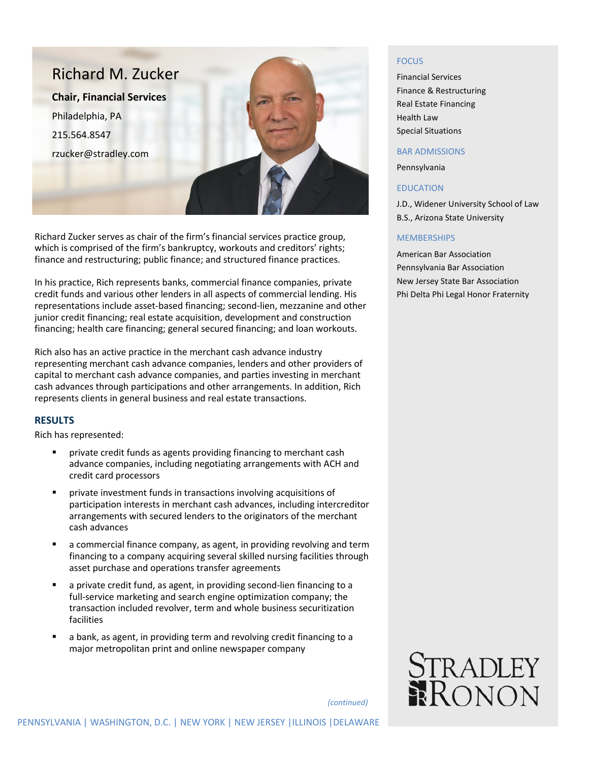

Richard Zucker serves as chair of the firm's financial services practice group, which is comprised of the firm's bankruptcy, workouts and creditors' rights; finance and restructuring; public finance; and structured finance practices.

In his practice, Rich represents banks, commercial finance companies, private credit funds and various other lenders in all aspects of commercial lending. His representations include asset-based financing; second-lien, mezzanine and other junior credit financing; real estate acquisition, development and construction financing; health care financing; general secured financing; and loan workouts.

Rich also has an active practice in the merchant cash advance industry representing merchant cash advance companies, lenders and other providers of capital to merchant cash advance companies, and parties investing in merchant cash advances through participations and other arrangements. In addition, Rich represents clients in general business and real estate transactions.

## **RESULTS**

Rich has represented:

- private credit funds as agents providing financing to merchant cash advance companies, including negotiating arrangements with ACH and credit card processors
- private investment funds in transactions involving acquisitions of participation interests in merchant cash advances, including intercreditor arrangements with secured lenders to the originators of the merchant cash advances
- a commercial finance company, as agent, in providing revolving and term financing to a company acquiring several skilled nursing facilities through asset purchase and operations transfer agreements
- a private credit fund, as agent, in providing second-lien financing to a full-service marketing and search engine optimization company; the transaction included revolver, term and whole business securitization facilities
- a bank, as agent, in providing term and revolving credit financing to a major metropolitan print and online newspaper company

#### FOCUS

Financial Services Finance & Restructuring Real Estate Financing Health Law Special Situations

#### BAR ADMISSIONS

Pennsylvania

### EDUCATION

J.D., Widener University School of Law B.S., Arizona State University

#### **MEMBERSHIPS**

American Bar Association Pennsylvania Bar Association New Jersey State Bar Association Phi Delta Phi Legal Honor Fraternity



*(continued)*